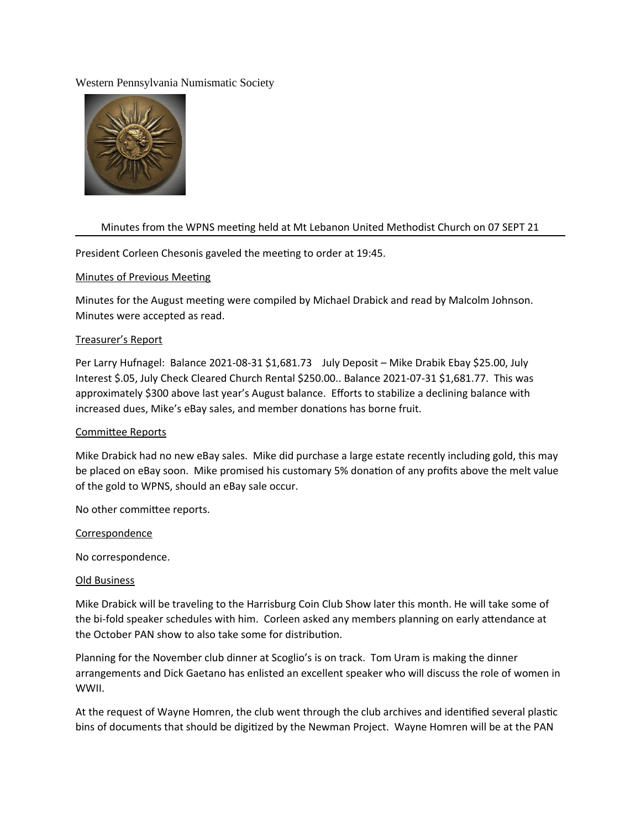### Western Pennsylvania Numismatic Society



# Minutes from the WPNS meeting held at Mt Lebanon United Methodist Church on 07 SEPT 21

President Corleen Chesonis gaveled the meeting to order at 19:45.

### Minutes of Previous Meeting

Minutes for the August meeting were compiled by Michael Drabick and read by Malcolm Johnson. Minutes were accepted as read.

### Treasurer's Report

Per Larry Hufnagel: Balance 2021-08-31 \$1,681.73 July Deposit - Mike Drabik Ebay \$25.00, July Interest \$.05, July Check Cleared Church Rental \$250.00.. Balance 2021-07-31 \$1,681.77. This was approximately \$300 above last year's August balance. Efforts to stabilize a declining balance with increased dues, Mike's eBay sales, and member donations has borne fruit.

#### Commitee Reports

Mike Drabick had no new eBay sales. Mike did purchase a large estate recently including gold, this may be placed on eBay soon. Mike promised his customary 5% donaton of any profts above the melt value of the gold to WPNS, should an eBay sale occur.

No other commitee reports.

#### Correspondence

No correspondence.

#### Old Business

Mike Drabick will be traveling to the Harrisburg Coin Club Show later this month. He will take some of the bi-fold speaker schedules with him. Corleen asked any members planning on early attendance at the October PAN show to also take some for distribution.

Planning for the November club dinner at Scoglio's is on track. Tom Uram is making the dinner arrangements and Dick Gaetano has enlisted an excellent speaker who will discuss the role of women in WWII.

At the request of Wayne Homren, the club went through the club archives and identified several plastic bins of documents that should be digitized by the Newman Project. Wayne Homren will be at the PAN